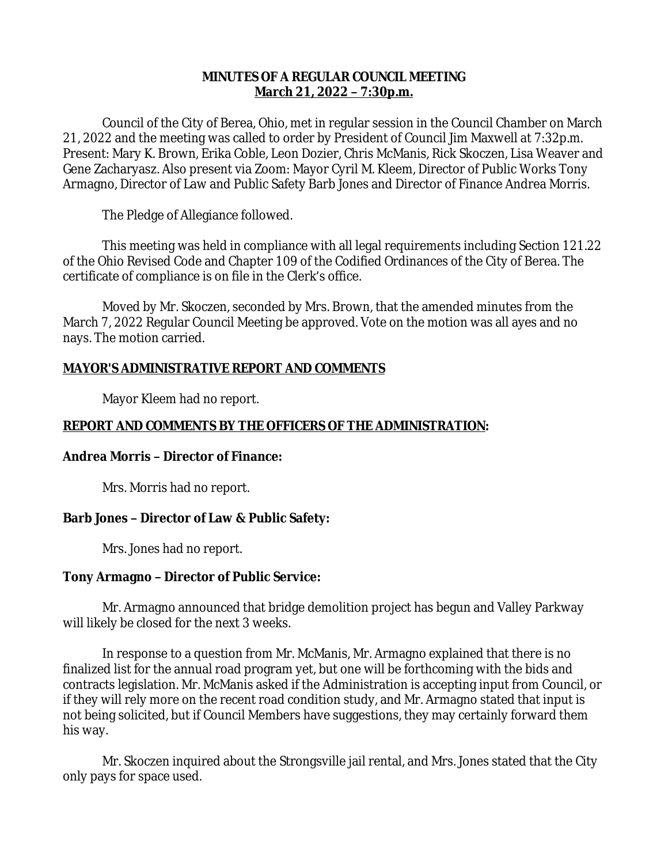## **MINUTES OF A REGULAR COUNCIL MEETING March 21, 2022 – 7:30p.m.**

Council of the City of Berea, Ohio, met in regular session in the Council Chamber on March 21, 2022 and the meeting was called to order by President of Council Jim Maxwell at 7:32p.m. Present: Mary K. Brown, Erika Coble, Leon Dozier, Chris McManis, Rick Skoczen, Lisa Weaver and Gene Zacharyasz. Also present via Zoom: Mayor Cyril M. Kleem, Director of Public Works Tony Armagno, Director of Law and Public Safety Barb Jones and Director of Finance Andrea Morris.

The Pledge of Allegiance followed.

This meeting was held in compliance with all legal requirements including Section 121.22 of the Ohio Revised Code and Chapter 109 of the Codified Ordinances of the City of Berea. The certificate of compliance is on file in the Clerk's office.

Moved by Mr. Skoczen, seconded by Mrs. Brown, that the amended minutes from the March 7, 2022 Regular Council Meeting be approved. Vote on the motion was all ayes and no nays. The motion carried.

# **MAYOR'S ADMINISTRATIVE REPORT AND COMMENTS**

Mayor Kleem had no report.

# **REPORT AND COMMENTS BY THE OFFICERS OF THE ADMINISTRATION:**

# **Andrea Morris – Director of Finance:**

Mrs. Morris had no report.

# **Barb Jones – Director of Law & Public Safety:**

Mrs. Jones had no report.

# **Tony Armagno – Director of Public Service:**

Mr. Armagno announced that bridge demolition project has begun and Valley Parkway will likely be closed for the next 3 weeks.

In response to a question from Mr. McManis, Mr. Armagno explained that there is no finalized list for the annual road program yet, but one will be forthcoming with the bids and contracts legislation. Mr. McManis asked if the Administration is accepting input from Council, or if they will rely more on the recent road condition study, and Mr. Armagno stated that input is not being solicited, but if Council Members have suggestions, they may certainly forward them his way.

Mr. Skoczen inquired about the Strongsville jail rental, and Mrs. Jones stated that the City only pays for space used.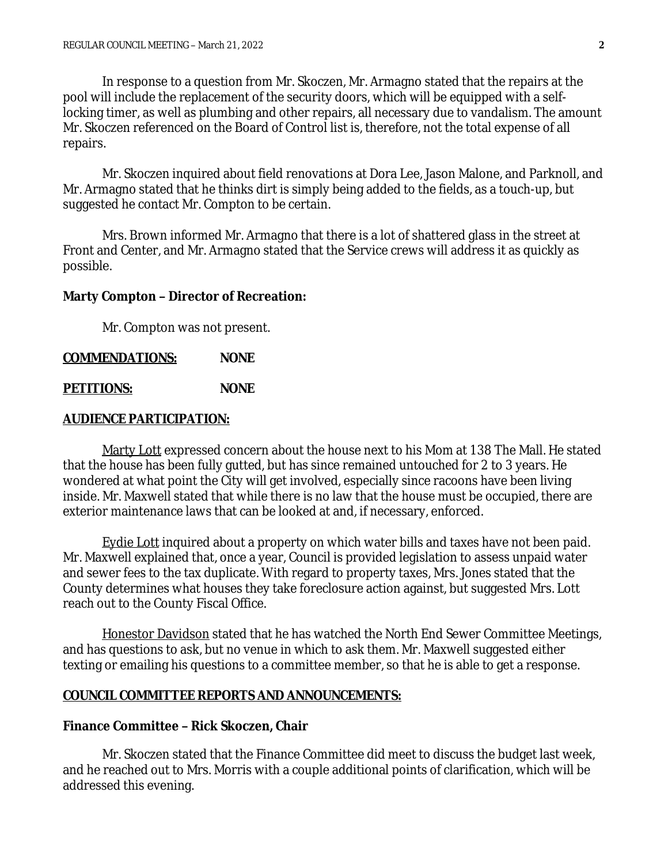In response to a question from Mr. Skoczen, Mr. Armagno stated that the repairs at the pool will include the replacement of the security doors, which will be equipped with a selflocking timer, as well as plumbing and other repairs, all necessary due to vandalism. The amount Mr. Skoczen referenced on the Board of Control list is, therefore, not the total expense of all repairs.

Mr. Skoczen inquired about field renovations at Dora Lee, Jason Malone, and Parknoll, and Mr. Armagno stated that he thinks dirt is simply being added to the fields, as a touch-up, but suggested he contact Mr. Compton to be certain.

Mrs. Brown informed Mr. Armagno that there is a lot of shattered glass in the street at Front and Center, and Mr. Armagno stated that the Service crews will address it as quickly as possible.

#### **Marty Compton – Director of Recreation:**

Mr. Compton was not present.

### **COMMENDATIONS: NONE**

#### **PETITIONS: NONE**

### **AUDIENCE PARTICIPATION:**

Marty Lott expressed concern about the house next to his Mom at 138 The Mall. He stated that the house has been fully gutted, but has since remained untouched for 2 to 3 years. He wondered at what point the City will get involved, especially since racoons have been living inside. Mr. Maxwell stated that while there is no law that the house must be occupied, there are exterior maintenance laws that can be looked at and, if necessary, enforced.

Eydie Lott inquired about a property on which water bills and taxes have not been paid. Mr. Maxwell explained that, once a year, Council is provided legislation to assess unpaid water and sewer fees to the tax duplicate. With regard to property taxes, Mrs. Jones stated that the County determines what houses they take foreclosure action against, but suggested Mrs. Lott reach out to the County Fiscal Office.

Honestor Davidson stated that he has watched the North End Sewer Committee Meetings, and has questions to ask, but no venue in which to ask them. Mr. Maxwell suggested either texting or emailing his questions to a committee member, so that he is able to get a response.

### **COUNCIL COMMITTEE REPORTS AND ANNOUNCEMENTS:**

#### **Finance Committee – Rick Skoczen, Chair**

Mr. Skoczen stated that the Finance Committee did meet to discuss the budget last week, and he reached out to Mrs. Morris with a couple additional points of clarification, which will be addressed this evening.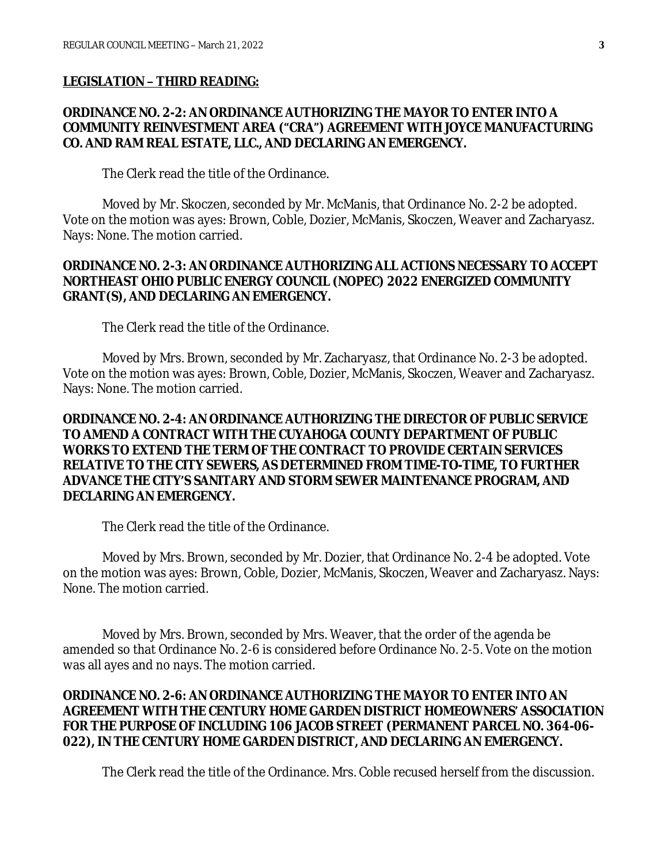#### **LEGISLATION – THIRD READING:**

### **ORDINANCE NO. 2-2: AN ORDINANCE AUTHORIZING THE MAYOR TO ENTER INTO A COMMUNITY REINVESTMENT AREA ("CRA") AGREEMENT WITH JOYCE MANUFACTURING CO. AND RAM REAL ESTATE, LLC., AND DECLARING AN EMERGENCY.**

The Clerk read the title of the Ordinance.

Moved by Mr. Skoczen, seconded by Mr. McManis, that Ordinance No. 2-2 be adopted. Vote on the motion was ayes: Brown, Coble, Dozier, McManis, Skoczen, Weaver and Zacharyasz. Nays: None. The motion carried.

### **ORDINANCE NO. 2-3: AN ORDINANCE AUTHORIZING ALL ACTIONS NECESSARY TO ACCEPT NORTHEAST OHIO PUBLIC ENERGY COUNCIL (NOPEC) 2022 ENERGIZED COMMUNITY GRANT(S), AND DECLARING AN EMERGENCY.**

The Clerk read the title of the Ordinance.

Moved by Mrs. Brown, seconded by Mr. Zacharyasz, that Ordinance No. 2-3 be adopted. Vote on the motion was ayes: Brown, Coble, Dozier, McManis, Skoczen, Weaver and Zacharyasz. Nays: None. The motion carried.

## **ORDINANCE NO. 2-4: AN ORDINANCE AUTHORIZING THE DIRECTOR OF PUBLIC SERVICE TO AMEND A CONTRACT WITH THE CUYAHOGA COUNTY DEPARTMENT OF PUBLIC WORKS TO EXTEND THE TERM OF THE CONTRACT TO PROVIDE CERTAIN SERVICES RELATIVE TO THE CITY SEWERS, AS DETERMINED FROM TIME-TO-TIME, TO FURTHER ADVANCE THE CITY'S SANITARY AND STORM SEWER MAINTENANCE PROGRAM, AND DECLARING AN EMERGENCY.**

The Clerk read the title of the Ordinance.

Moved by Mrs. Brown, seconded by Mr. Dozier, that Ordinance No. 2-4 be adopted. Vote on the motion was ayes: Brown, Coble, Dozier, McManis, Skoczen, Weaver and Zacharyasz. Nays: None. The motion carried.

Moved by Mrs. Brown, seconded by Mrs. Weaver, that the order of the agenda be amended so that Ordinance No. 2-6 is considered before Ordinance No. 2-5. Vote on the motion was all ayes and no nays. The motion carried.

## **ORDINANCE NO. 2-6: AN ORDINANCE AUTHORIZING THE MAYOR TO ENTER INTO AN AGREEMENT WITH THE CENTURY HOME GARDEN DISTRICT HOMEOWNERS' ASSOCIATION FOR THE PURPOSE OF INCLUDING 106 JACOB STREET (PERMANENT PARCEL NO. 364-06- 022), IN THE CENTURY HOME GARDEN DISTRICT, AND DECLARING AN EMERGENCY.**

The Clerk read the title of the Ordinance. Mrs. Coble recused herself from the discussion.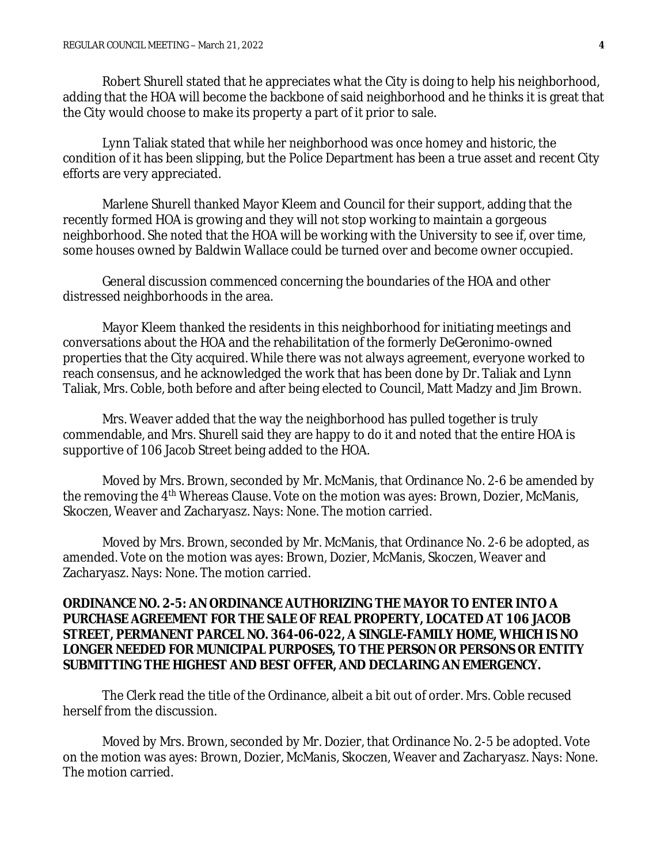Robert Shurell stated that he appreciates what the City is doing to help his neighborhood, adding that the HOA will become the backbone of said neighborhood and he thinks it is great that the City would choose to make its property a part of it prior to sale.

Lynn Taliak stated that while her neighborhood was once homey and historic, the condition of it has been slipping, but the Police Department has been a true asset and recent City efforts are very appreciated.

Marlene Shurell thanked Mayor Kleem and Council for their support, adding that the recently formed HOA is growing and they will not stop working to maintain a gorgeous neighborhood. She noted that the HOA will be working with the University to see if, over time, some houses owned by Baldwin Wallace could be turned over and become owner occupied.

General discussion commenced concerning the boundaries of the HOA and other distressed neighborhoods in the area.

Mayor Kleem thanked the residents in this neighborhood for initiating meetings and conversations about the HOA and the rehabilitation of the formerly DeGeronimo-owned properties that the City acquired. While there was not always agreement, everyone worked to reach consensus, and he acknowledged the work that has been done by Dr. Taliak and Lynn Taliak, Mrs. Coble, both before and after being elected to Council, Matt Madzy and Jim Brown.

Mrs. Weaver added that the way the neighborhood has pulled together is truly commendable, and Mrs. Shurell said they are happy to do it and noted that the entire HOA is supportive of 106 Jacob Street being added to the HOA.

Moved by Mrs. Brown, seconded by Mr. McManis, that Ordinance No. 2-6 be amended by the removing the 4th Whereas Clause. Vote on the motion was ayes: Brown, Dozier, McManis, Skoczen, Weaver and Zacharyasz. Nays: None. The motion carried.

Moved by Mrs. Brown, seconded by Mr. McManis, that Ordinance No. 2-6 be adopted, as amended. Vote on the motion was ayes: Brown, Dozier, McManis, Skoczen, Weaver and Zacharyasz. Nays: None. The motion carried.

### **ORDINANCE NO. 2-5: AN ORDINANCE AUTHORIZING THE MAYOR TO ENTER INTO A PURCHASE AGREEMENT FOR THE SALE OF REAL PROPERTY, LOCATED AT 106 JACOB STREET, PERMANENT PARCEL NO. 364-06-022, A SINGLE-FAMILY HOME, WHICH IS NO LONGER NEEDED FOR MUNICIPAL PURPOSES, TO THE PERSON OR PERSONS OR ENTITY SUBMITTING THE HIGHEST AND BEST OFFER, AND DECLARING AN EMERGENCY.**

The Clerk read the title of the Ordinance, albeit a bit out of order. Mrs. Coble recused herself from the discussion.

Moved by Mrs. Brown, seconded by Mr. Dozier, that Ordinance No. 2-5 be adopted. Vote on the motion was ayes: Brown, Dozier, McManis, Skoczen, Weaver and Zacharyasz. Nays: None. The motion carried.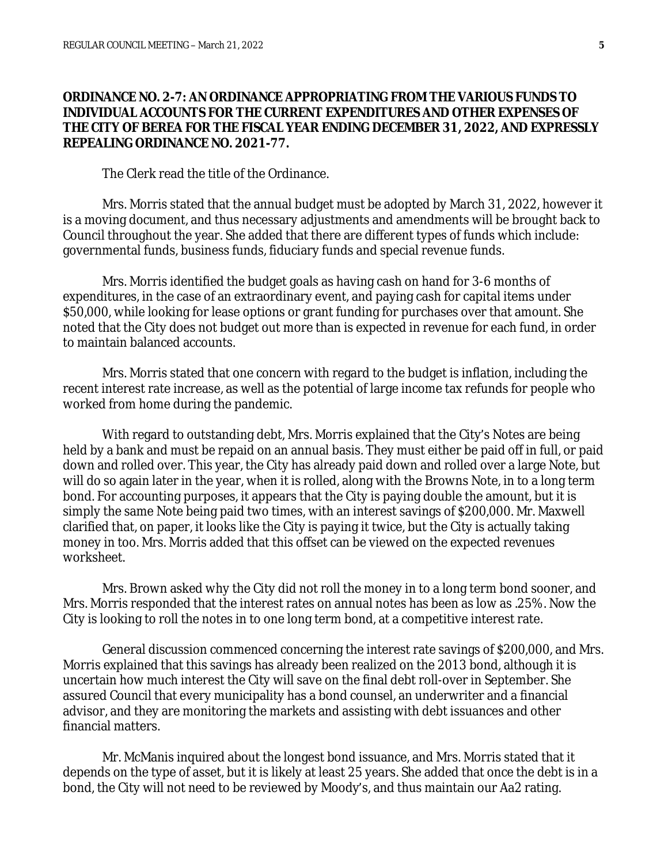### **ORDINANCE NO. 2-7: AN ORDINANCE APPROPRIATING FROM THE VARIOUS FUNDS TO INDIVIDUAL ACCOUNTS FOR THE CURRENT EXPENDITURES AND OTHER EXPENSES OF THE CITY OF BEREA FOR THE FISCAL YEAR ENDING DECEMBER 31, 2022, AND EXPRESSLY REPEALING ORDINANCE NO. 2021-77.**

The Clerk read the title of the Ordinance.

Mrs. Morris stated that the annual budget must be adopted by March 31, 2022, however it is a moving document, and thus necessary adjustments and amendments will be brought back to Council throughout the year. She added that there are different types of funds which include: governmental funds, business funds, fiduciary funds and special revenue funds.

Mrs. Morris identified the budget goals as having cash on hand for 3-6 months of expenditures, in the case of an extraordinary event, and paying cash for capital items under \$50,000, while looking for lease options or grant funding for purchases over that amount. She noted that the City does not budget out more than is expected in revenue for each fund, in order to maintain balanced accounts.

Mrs. Morris stated that one concern with regard to the budget is inflation, including the recent interest rate increase, as well as the potential of large income tax refunds for people who worked from home during the pandemic.

With regard to outstanding debt, Mrs. Morris explained that the City's Notes are being held by a bank and must be repaid on an annual basis. They must either be paid off in full, or paid down and rolled over. This year, the City has already paid down and rolled over a large Note, but will do so again later in the year, when it is rolled, along with the Browns Note, in to a long term bond. For accounting purposes, it appears that the City is paying double the amount, but it is simply the same Note being paid two times, with an interest savings of \$200,000. Mr. Maxwell clarified that, on paper, it looks like the City is paying it twice, but the City is actually taking money in too. Mrs. Morris added that this offset can be viewed on the expected revenues worksheet.

Mrs. Brown asked why the City did not roll the money in to a long term bond sooner, and Mrs. Morris responded that the interest rates on annual notes has been as low as .25%. Now the City is looking to roll the notes in to one long term bond, at a competitive interest rate.

General discussion commenced concerning the interest rate savings of \$200,000, and Mrs. Morris explained that this savings has already been realized on the 2013 bond, although it is uncertain how much interest the City will save on the final debt roll-over in September. She assured Council that every municipality has a bond counsel, an underwriter and a financial advisor, and they are monitoring the markets and assisting with debt issuances and other financial matters.

Mr. McManis inquired about the longest bond issuance, and Mrs. Morris stated that it depends on the type of asset, but it is likely at least 25 years. She added that once the debt is in a bond, the City will not need to be reviewed by Moody's, and thus maintain our Aa2 rating.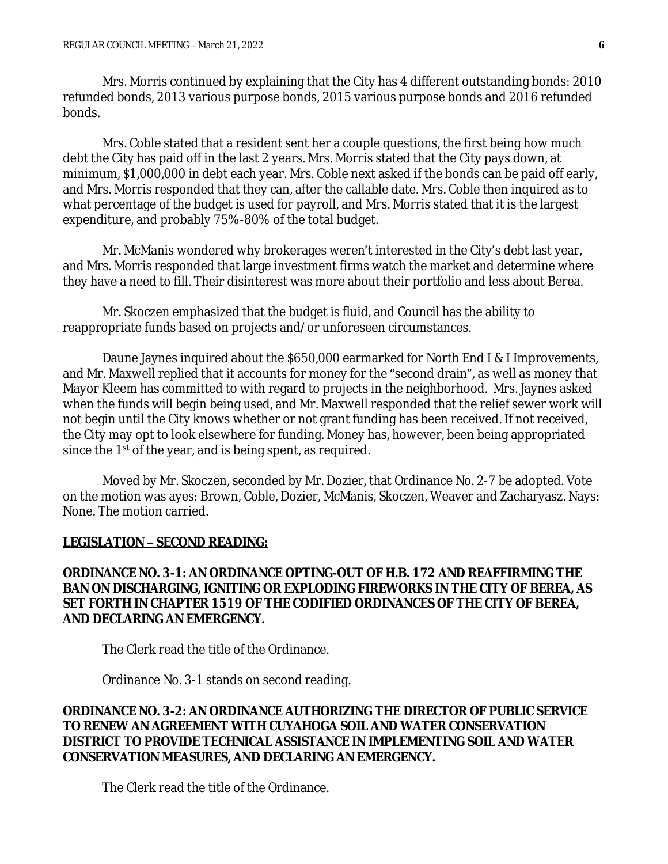Mrs. Morris continued by explaining that the City has 4 different outstanding bonds: 2010 refunded bonds, 2013 various purpose bonds, 2015 various purpose bonds and 2016 refunded bonds.

Mrs. Coble stated that a resident sent her a couple questions, the first being how much debt the City has paid off in the last 2 years. Mrs. Morris stated that the City pays down, at minimum, \$1,000,000 in debt each year. Mrs. Coble next asked if the bonds can be paid off early, and Mrs. Morris responded that they can, after the callable date. Mrs. Coble then inquired as to what percentage of the budget is used for payroll, and Mrs. Morris stated that it is the largest expenditure, and probably 75%-80% of the total budget.

Mr. McManis wondered why brokerages weren't interested in the City's debt last year, and Mrs. Morris responded that large investment firms watch the market and determine where they have a need to fill. Their disinterest was more about their portfolio and less about Berea.

Mr. Skoczen emphasized that the budget is fluid, and Council has the ability to reappropriate funds based on projects and/or unforeseen circumstances.

Daune Jaynes inquired about the \$650,000 earmarked for North End I & I Improvements, and Mr. Maxwell replied that it accounts for money for the "second drain", as well as money that Mayor Kleem has committed to with regard to projects in the neighborhood. Mrs. Jaynes asked when the funds will begin being used, and Mr. Maxwell responded that the relief sewer work will not begin until the City knows whether or not grant funding has been received. If not received, the City may opt to look elsewhere for funding. Money has, however, been being appropriated since the 1<sup>st</sup> of the year, and is being spent, as required.

Moved by Mr. Skoczen, seconded by Mr. Dozier, that Ordinance No. 2-7 be adopted. Vote on the motion was ayes: Brown, Coble, Dozier, McManis, Skoczen, Weaver and Zacharyasz. Nays: None. The motion carried.

#### **LEGISLATION – SECOND READING:**

## **ORDINANCE NO. 3-1: AN ORDINANCE OPTING-OUT OF H.B. 172 AND REAFFIRMING THE BAN ON DISCHARGING, IGNITING OR EXPLODING FIREWORKS IN THE CITY OF BEREA, AS SET FORTH IN CHAPTER 1519 OF THE CODIFIED ORDINANCES OF THE CITY OF BEREA, AND DECLARING AN EMERGENCY.**

The Clerk read the title of the Ordinance.

Ordinance No. 3-1 stands on second reading.

## **ORDINANCE NO. 3-2: AN ORDINANCE AUTHORIZING THE DIRECTOR OF PUBLIC SERVICE TO RENEW AN AGREEMENT WITH CUYAHOGA SOIL AND WATER CONSERVATION DISTRICT TO PROVIDE TECHNICAL ASSISTANCE IN IMPLEMENTING SOIL AND WATER CONSERVATION MEASURES, AND DECLARING AN EMERGENCY.**

The Clerk read the title of the Ordinance.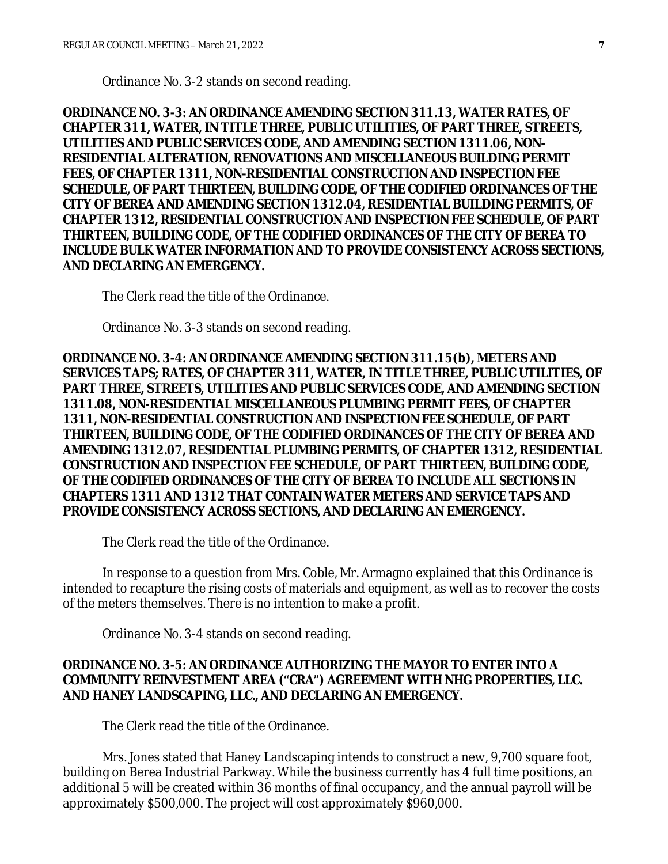Ordinance No. 3-2 stands on second reading.

**ORDINANCE NO. 3-3: AN ORDINANCE AMENDING SECTION 311.13, WATER RATES, OF CHAPTER 311, WATER, IN TITLE THREE, PUBLIC UTILITIES, OF PART THREE, STREETS, UTILITIES AND PUBLIC SERVICES CODE, AND AMENDING SECTION 1311.06, NON-RESIDENTIAL ALTERATION, RENOVATIONS AND MISCELLANEOUS BUILDING PERMIT FEES, OF CHAPTER 1311, NON-RESIDENTIAL CONSTRUCTION AND INSPECTION FEE SCHEDULE, OF PART THIRTEEN, BUILDING CODE, OF THE CODIFIED ORDINANCES OF THE CITY OF BEREA AND AMENDING SECTION 1312.04, RESIDENTIAL BUILDING PERMITS, OF CHAPTER 1312, RESIDENTIAL CONSTRUCTION AND INSPECTION FEE SCHEDULE, OF PART THIRTEEN, BUILDING CODE, OF THE CODIFIED ORDINANCES OF THE CITY OF BEREA TO INCLUDE BULK WATER INFORMATION AND TO PROVIDE CONSISTENCY ACROSS SECTIONS, AND DECLARING AN EMERGENCY.**

The Clerk read the title of the Ordinance.

Ordinance No. 3-3 stands on second reading.

**ORDINANCE NO. 3-4: AN ORDINANCE AMENDING SECTION 311.15(b), METERS AND SERVICES TAPS; RATES, OF CHAPTER 311, WATER, IN TITLE THREE, PUBLIC UTILITIES, OF PART THREE, STREETS, UTILITIES AND PUBLIC SERVICES CODE, AND AMENDING SECTION 1311.08, NON-RESIDENTIAL MISCELLANEOUS PLUMBING PERMIT FEES, OF CHAPTER 1311, NON-RESIDENTIAL CONSTRUCTION AND INSPECTION FEE SCHEDULE, OF PART THIRTEEN, BUILDING CODE, OF THE CODIFIED ORDINANCES OF THE CITY OF BEREA AND AMENDING 1312.07, RESIDENTIAL PLUMBING PERMITS, OF CHAPTER 1312, RESIDENTIAL CONSTRUCTION AND INSPECTION FEE SCHEDULE, OF PART THIRTEEN, BUILDING CODE, OF THE CODIFIED ORDINANCES OF THE CITY OF BEREA TO INCLUDE ALL SECTIONS IN CHAPTERS 1311 AND 1312 THAT CONTAIN WATER METERS AND SERVICE TAPS AND PROVIDE CONSISTENCY ACROSS SECTIONS, AND DECLARING AN EMERGENCY.**

The Clerk read the title of the Ordinance.

In response to a question from Mrs. Coble, Mr. Armagno explained that this Ordinance is intended to recapture the rising costs of materials and equipment, as well as to recover the costs of the meters themselves. There is no intention to make a profit.

Ordinance No. 3-4 stands on second reading.

## **ORDINANCE NO. 3-5: AN ORDINANCE AUTHORIZING THE MAYOR TO ENTER INTO A COMMUNITY REINVESTMENT AREA ("CRA") AGREEMENT WITH NHG PROPERTIES, LLC. AND HANEY LANDSCAPING, LLC., AND DECLARING AN EMERGENCY.**

The Clerk read the title of the Ordinance.

Mrs. Jones stated that Haney Landscaping intends to construct a new, 9,700 square foot, building on Berea Industrial Parkway. While the business currently has 4 full time positions, an additional 5 will be created within 36 months of final occupancy, and the annual payroll will be approximately \$500,000. The project will cost approximately \$960,000.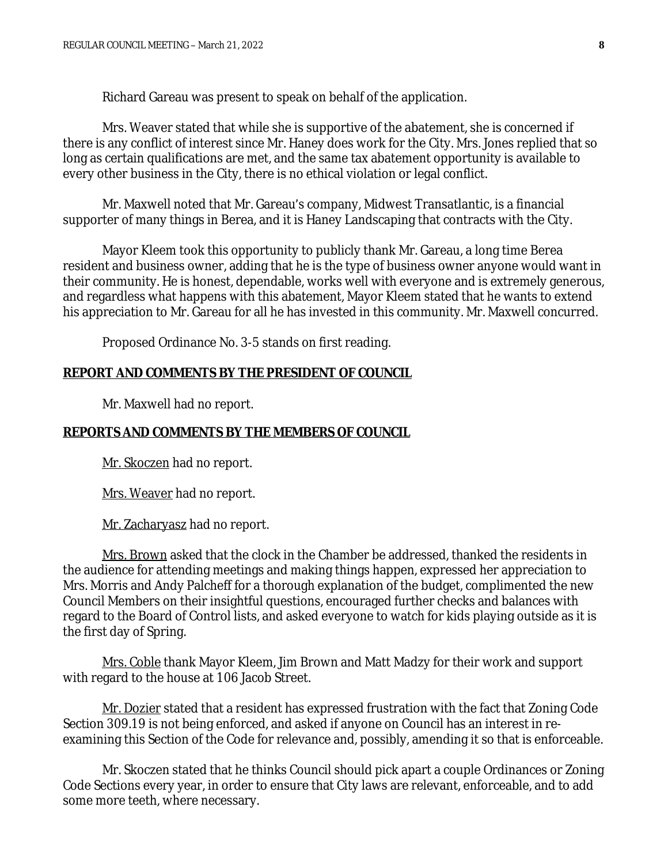Richard Gareau was present to speak on behalf of the application.

Mrs. Weaver stated that while she is supportive of the abatement, she is concerned if there is any conflict of interest since Mr. Haney does work for the City. Mrs. Jones replied that so long as certain qualifications are met, and the same tax abatement opportunity is available to every other business in the City, there is no ethical violation or legal conflict.

Mr. Maxwell noted that Mr. Gareau's company, Midwest Transatlantic, is a financial supporter of many things in Berea, and it is Haney Landscaping that contracts with the City.

Mayor Kleem took this opportunity to publicly thank Mr. Gareau, a long time Berea resident and business owner, adding that he is the type of business owner anyone would want in their community. He is honest, dependable, works well with everyone and is extremely generous, and regardless what happens with this abatement, Mayor Kleem stated that he wants to extend his appreciation to Mr. Gareau for all he has invested in this community. Mr. Maxwell concurred.

Proposed Ordinance No. 3-5 stands on first reading.

#### **REPORT AND COMMENTS BY THE PRESIDENT OF COUNCIL**

Mr. Maxwell had no report.

#### **REPORTS AND COMMENTS BY THE MEMBERS OF COUNCIL**

Mr. Skoczen had no report.

Mrs. Weaver had no report.

Mr. Zacharyasz had no report.

Mrs. Brown asked that the clock in the Chamber be addressed, thanked the residents in the audience for attending meetings and making things happen, expressed her appreciation to Mrs. Morris and Andy Palcheff for a thorough explanation of the budget, complimented the new Council Members on their insightful questions, encouraged further checks and balances with regard to the Board of Control lists, and asked everyone to watch for kids playing outside as it is the first day of Spring.

Mrs. Coble thank Mayor Kleem, Jim Brown and Matt Madzy for their work and support with regard to the house at 106 Jacob Street.

Mr. Dozier stated that a resident has expressed frustration with the fact that Zoning Code Section 309.19 is not being enforced, and asked if anyone on Council has an interest in reexamining this Section of the Code for relevance and, possibly, amending it so that is enforceable.

Mr. Skoczen stated that he thinks Council should pick apart a couple Ordinances or Zoning Code Sections every year, in order to ensure that City laws are relevant, enforceable, and to add some more teeth, where necessary.